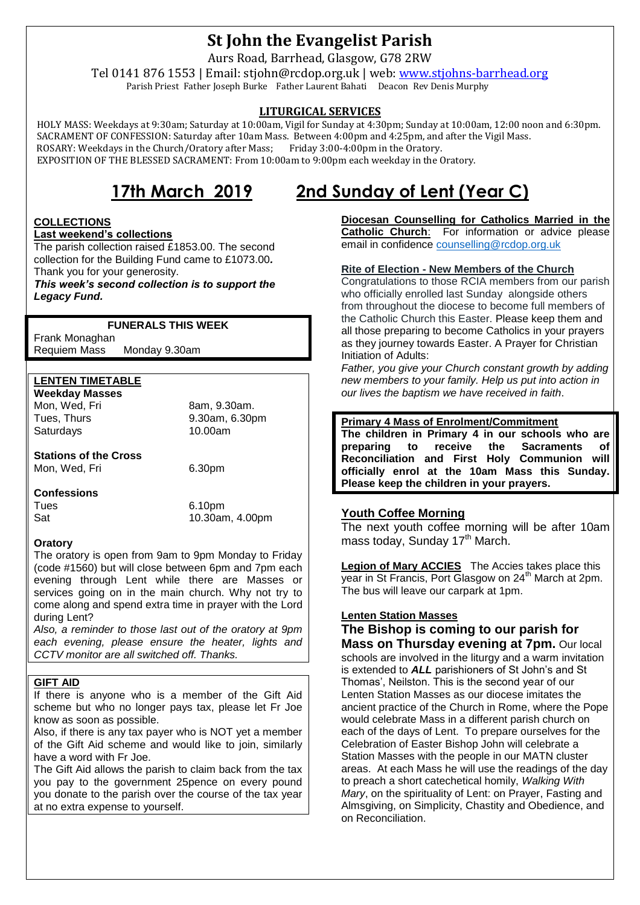## **St John the Evangelist Parish**

Aurs Road, Barrhead, Glasgow, G78 2RW

Tel 0141 876 1553 | Email: stjohn@rcdop.org.uk | web: [www.stjohns-barrhead.org](http://www.stjohns-barrhead.org/) Parish Priest Father Joseph Burke Father Laurent Bahati Deacon Rev Denis Murphy

### **LITURGICAL SERVICES**

 HOLY MASS: Weekdays at 9:30am; Saturday at 10:00am, Vigil for Sunday at 4:30pm; Sunday at 10:00am, 12:00 noon and 6:30pm. SACRAMENT OF CONFESSION: Saturday after 10am Mass. Between 4:00pm and 4:25pm, and after the Vigil Mass.<br>ROSARY: Weekdays in the Church/Oratory after Mass: Friday 3:00-4:00pm in the Oratory. ROSARY: Weekdays in the Church/Oratory after Mass; EXPOSITION OF THE BLESSED SACRAMENT: From 10:00am to 9:00pm each weekday in the Oratory.

# **17th March 2019 2nd Sunday of Lent (Year C)**

#### **COLLECTIONS**

**Last weekend's collections**

The parish collection raised £1853.00. The second collection for the Building Fund came to £1073.00*.*  Thank you for your generosity.

*This week's second collection is to support the Legacy Fund.*

## **FUNERALS THIS WEEK**

Frank Monaghan Monday 9.30am

## **LENTEN TIMETABLE**

**Weekday Masses** Mon, Wed, Fri 8am, 9.30am.<br>Tues, Thurs 8.30am, 6.30p Saturdays 10.00am

9.30am, 6.30pm

**Stations of the Cross** Mon, Wed, Fri 6.30pm

#### **Confessions**

Tues 6.10pm<br>
Sat 10.30an

10.30am, 4.00pm

#### **Oratory**

The oratory is open from 9am to 9pm Monday to Friday (code #1560) but will close between 6pm and 7pm each evening through Lent while there are Masses or services going on in the main church. Why not try to come along and spend extra time in prayer with the Lord during Lent?

*Also, a reminder to those last out of the oratory at 9pm each evening, please ensure the heater, lights and CCTV monitor are all switched off. Thanks.*

## **GIFT AID**

If there is anyone who is a member of the Gift Aid scheme but who no longer pays tax, please let Fr Joe know as soon as possible.

Also, if there is any tax payer who is NOT yet a member of the Gift Aid scheme and would like to join, similarly have a word with Fr Joe.

The Gift Aid allows the parish to claim back from the tax you pay to the government 25pence on every pound you donate to the parish over the course of the tax year at no extra expense to yourself.

## **Diocesan Counselling for Catholics Married in the**

**Catholic Church**: For information or advice please email in confidence [counselling@rcdop.org.uk](mailto:counselling@rcdop.org.uk)

#### **Rite of Election - New Members of the Church**

Congratulations to those RCIA members from our parish who officially enrolled last Sunday alongside others from throughout the diocese to become full members of the Catholic Church this Easter. Please keep them and all those preparing to become Catholics in your prayers as they journey towards Easter. A Prayer for Christian Initiation of Adults:

*Father, you give your Church constant growth by adding new members to your family. Help us put into action in our lives the baptism we have received in faith*.

#### **Primary 4 Mass of Enrolment/Commitment**

**The children in Primary 4 in our schools who are preparing to receive the Sacraments of Reconciliation and First Holy Communion will officially enrol at the 10am Mass this Sunday. Please keep the children in your prayers.** 

## **Youth Coffee Morning**

The next youth coffee morning will be after 10am mass today, Sunday 17<sup>th</sup> March.

**Legion of Mary ACCIES** The Accies takes place this year in St Francis, Port Glasgow on 24<sup>th</sup> March at 2pm. The bus will leave our carpark at 1pm.

#### **Lenten Station Masses**

**The Bishop is coming to our parish for Mass on Thursday evening at 7pm.** Our local schools are involved in the liturgy and a warm invitation is extended to *ALL* parishioners of St John's and St Thomas', Neilston. This is the second year of our Lenten Station Masses as our diocese imitates the ancient practice of the Church in Rome, where the Pope would celebrate Mass in a different parish church on each of the days of Lent. To prepare ourselves for the Celebration of Easter Bishop John will celebrate a Station Masses with the people in our MATN cluster areas. At each Mass he will use the readings of the day to preach a short catechetical homily, *Walking With Mary*, on the spirituality of Lent: on Prayer, Fasting and Almsgiving, on Simplicity, Chastity and Obedience, and on Reconciliation.